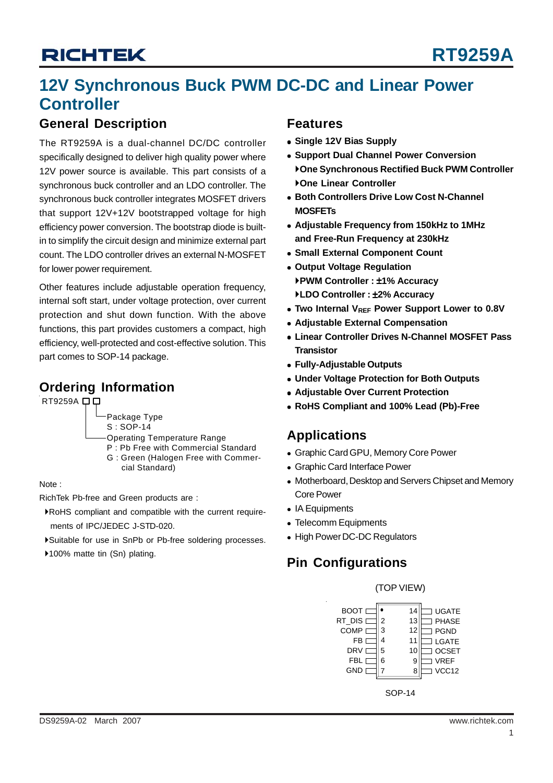## **12V Synchronous Buck PWM DC-DC and Linear Power Controller**

### **General Description**

The RT9259A is a dual-channel DC/DC controller specifically designed to deliver high quality power where 12V power source is available. This part consists of a synchronous buck controller and an LDO controller. The synchronous buck controller integrates MOSFET drivers that support 12V+12V bootstrapped voltage for high efficiency power conversion. The bootstrap diode is builtin to simplify the circuit design and minimize external part count. The LDO controller drives an external N-MOSFET for lower power requirement.

Other features include adjustable operation frequency, internal soft start, under voltage protection, over current protection and shut down function. With the above functions, this part provides customers a compact, high efficiency, well-protected and cost-effective solution. This part comes to SOP-14 package.

### **Ordering Information**

RT9259A **DD** 

Package Type

- S : SOP-14 Operating Temperature Range
- P : Pb Free with Commercial Standard
- G : Green (Halogen Free with Commer cial Standard)

#### Note :

RichTek Pb-free and Green products are :

- `RoHS compliant and compatible with the current require ments of IPC/JEDEC J-STD-020.
- `Suitable for use in SnPb or Pb-free soldering processes.

▶100% matte tin (Sn) plating.

### **Features**

- $\bullet$  **Single 12V Bias Supply**
- **Support Dual Channel Power Conversion** `**One Synchronous Rectified Buck PWM Controller** `**One Linear Controller**
- **Both Controllers Drive Low Cost N-Channel MOSFETs**
- <sup>z</sup> **Adjustable Frequency from 150kHz to 1MHz and Free-Run Frequency at 230kHz**
- **Small External Component Count**
- **Output Voltage Regulation** `**PWM Controller :** ±**1% Accuracy** `**LDO Controller :** ±**2% Accuracy**
- Two Internal V<sub>REF</sub> Power Support Lower to 0.8V
- **Adjustable External Compensation**
- **.** Linear Controller Drives N-Channel MOSFET Pass **Transistor**
- <sup>z</sup> **Fully-Adjustable Outputs**
- **Under Voltage Protection for Both Outputs**
- **Adjustable Over Current Protection**
- <sup>z</sup> **RoHS Compliant and 100% Lead (Pb)-Free**

### **Applications**

- Graphic Card GPU, Memory Core Power
- Graphic Card Interface Power
- Motherboard, Desktop and Servers Chipset and Memory Core Power
- IA Equipments
- Telecomm Equipments
- High Power DC-DC Regulators

## **Pin Configurations**



SOP-14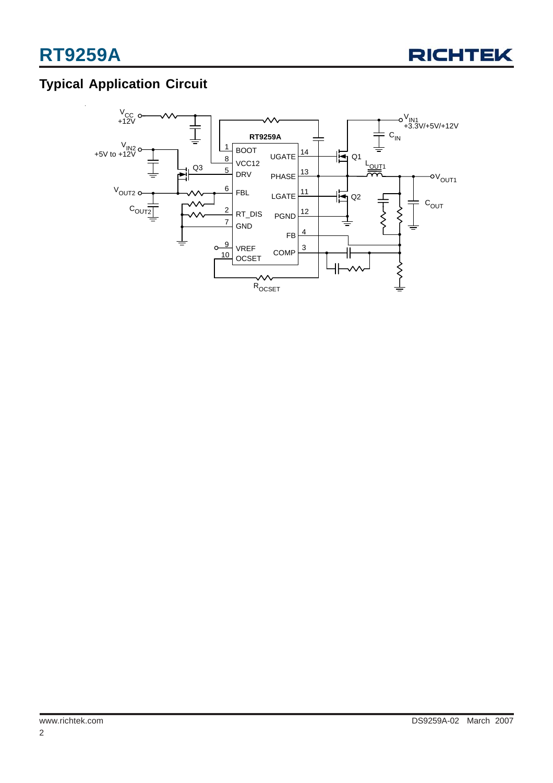

## **Typical Application Circuit**

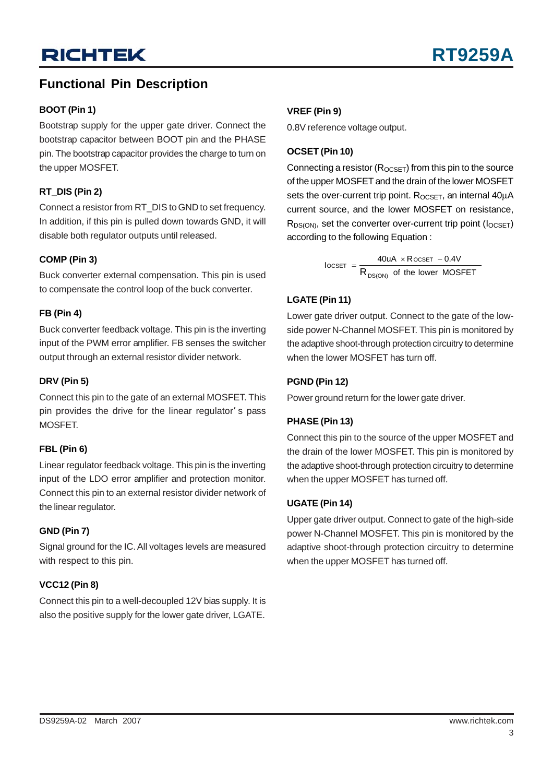## **Functional Pin Description**

### **BOOT (Pin 1)**

Bootstrap supply for the upper gate driver. Connect the bootstrap capacitor between BOOT pin and the PHASE pin. The bootstrap capacitor provides the charge to turn on the upper MOSFET.

### **RT\_DIS (Pin 2)**

Connect a resistor from RT\_DIS to GND to set frequency. In addition, if this pin is pulled down towards GND, it will disable both regulator outputs until released.

### **COMP (Pin 3)**

Buck converter external compensation. This pin is used to compensate the control loop of the buck converter.

### **FB (Pin 4)**

Buck converter feedback voltage. This pin is the inverting input of the PWM error amplifier. FB senses the switcher output through an external resistor divider network.

### **DRV (Pin 5)**

Connect this pin to the gate of an external MOSFET. This pin provides the drive for the linear regulator' s pass MOSFET.

### **FBL (Pin 6)**

Linear regulator feedback voltage. This pin is the inverting input of the LDO error amplifier and protection monitor. Connect this pin to an external resistor divider network of the linear regulator.

### **GND (Pin 7)**

Signal ground for the IC. All voltages levels are measured with respect to this pin.

### **VCC12 (Pin 8)**

Connect this pin to a well-decoupled 12V bias supply. It is also the positive supply for the lower gate driver, LGATE.

### **VREF (Pin 9)**

0.8V reference voltage output.

### **OCSET (Pin 10)**

Connecting a resistor  $(R_{OCSET})$  from this pin to the source of the upper MOSFET and the drain of the lower MOSFET sets the over-current trip point.  $R_{OCSET}$ , an internal  $40\mu A$ current source, and the lower MOSFET on resistance,  $R_{DS(ON)}$ , set the converter over-current trip point ( $I_{OCSET}$ ) according to the following Equation :

> of the lower MOSFET  $\text{IocSET}$  =  $\frac{40 \text{uA} \times \text{RocSET} - 0.4 \text{V}}{200 \text{m} \cdot \text{RocSET}}$ DS(ON)  $\text{OCSET}$  =  $\frac{40 \text{UA} \times \text{ROCSET}}{R_{\text{DS(ON)}} \text{ of the low}}$  $=\frac{40uA \times R$  ocset –

### **LGATE (Pin 11)**

Lower gate driver output. Connect to the gate of the lowside power N-Channel MOSFET. This pin is monitored by the adaptive shoot-through protection circuitry to determine when the lower MOSFET has turn off.

### **PGND (Pin 12)**

Power ground return for the lower gate driver.

### **PHASE (Pin 13)**

Connect this pin to the source of the upper MOSFET and the drain of the lower MOSFET. This pin is monitored by the adaptive shoot-through protection circuitry to determine when the upper MOSFET has turned off.

### **UGATE (Pin 14)**

Upper gate driver output. Connect to gate of the high-side power N-Channel MOSFET. This pin is monitored by the adaptive shoot-through protection circuitry to determine when the upper MOSFET has turned off.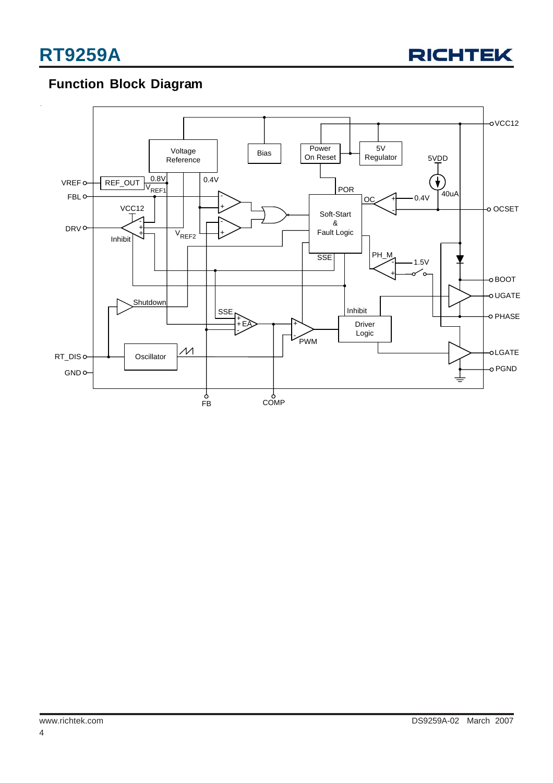

## **Function Block Diagram**

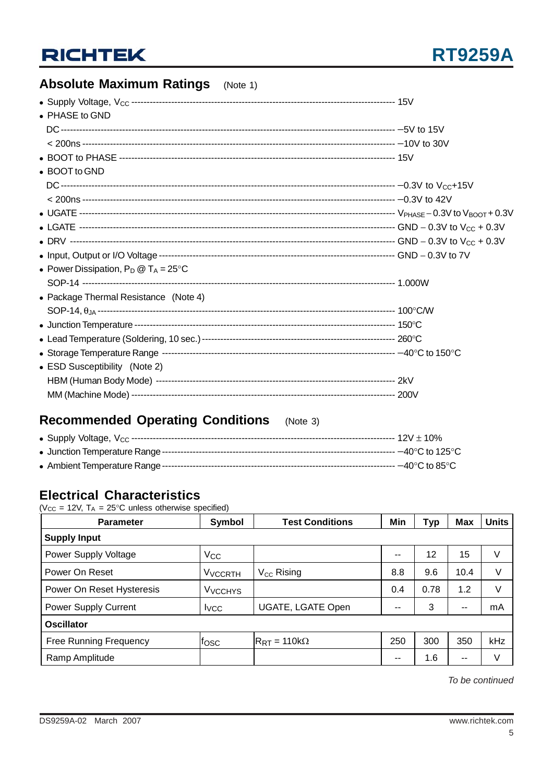

## **Absolute Maximum Ratings** (Note 1)

| • PHASE to GND                                 |  |
|------------------------------------------------|--|
|                                                |  |
|                                                |  |
|                                                |  |
| • BOOT to GND                                  |  |
|                                                |  |
|                                                |  |
|                                                |  |
|                                                |  |
|                                                |  |
|                                                |  |
| • Power Dissipation, $P_D @ T_A = 25^{\circ}C$ |  |
|                                                |  |
| • Package Thermal Resistance (Note 4)          |  |
|                                                |  |
|                                                |  |
|                                                |  |
|                                                |  |
| • ESD Susceptibility (Note 2)                  |  |
|                                                |  |
|                                                |  |

## **Recommended Operating Conditions** (Note 3)

### **Electrical Characteristics**

( $V_{CC}$  = 12V,  $T_A$  = 25°C unless otherwise specified)

| <b>Parameter</b>              | <b>Symbol</b>             | <b>Test Conditions</b>               | Min   | Typ  | <b>Max</b> | <b>Units</b> |  |  |
|-------------------------------|---------------------------|--------------------------------------|-------|------|------------|--------------|--|--|
| <b>Supply Input</b>           |                           |                                      |       |      |            |              |  |  |
| Power Supply Voltage          | $V_{CC}$                  |                                      | $- -$ | 12   | 15         | V            |  |  |
| Power On Reset                | <b>V<sub>VCCRTH</sub></b> | V <sub>CC</sub> Rising               | 8.8   | 9.6  | 10.4       | V            |  |  |
| Power On Reset Hysteresis     | <b>V<sub>VCCHYS</sub></b> |                                      | 0.4   | 0.78 | 1.2        | V            |  |  |
| <b>Power Supply Current</b>   | <b>I</b> vcc              | UGATE, LGATE Open                    | $- -$ | 3    | --         | mA           |  |  |
| <b>Oscillator</b>             |                           |                                      |       |      |            |              |  |  |
| <b>Free Running Frequency</b> | tosc                      | $R_{\text{RT}} = 110 \text{k}\Omega$ | 250   | 300  | 350        | kHz          |  |  |
| Ramp Amplitude                |                           |                                      | $- -$ | 1.6  | $- -$      | V            |  |  |

*To be continued*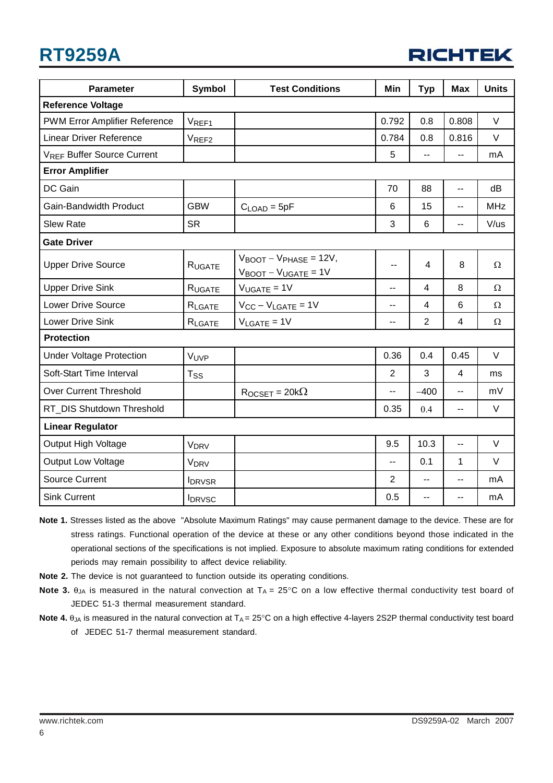## **RT9259A**

| <b>RICHTEK</b> |  |  |  |
|----------------|--|--|--|
|                |  |  |  |

| <b>Parameter</b>                  | <b>Symbol</b>          | <b>Test Conditions</b>                                                                   | Min            | <b>Typ</b>               | <b>Max</b>               | <b>Units</b> |  |
|-----------------------------------|------------------------|------------------------------------------------------------------------------------------|----------------|--------------------------|--------------------------|--------------|--|
| <b>Reference Voltage</b>          |                        |                                                                                          |                |                          |                          |              |  |
| PWM Error Amplifier Reference     | VREF1                  |                                                                                          | 0.792          | 0.8                      | 0.808                    | $\vee$       |  |
| <b>Linear Driver Reference</b>    | VREF <sub>2</sub>      |                                                                                          | 0.784          | 0.8                      | 0.816                    | $\vee$       |  |
| <b>VREF Buffer Source Current</b> |                        |                                                                                          | 5              | Ш,                       | $-$                      | mA           |  |
| <b>Error Amplifier</b>            |                        |                                                                                          |                |                          |                          |              |  |
| DC Gain                           |                        |                                                                                          | 70             | 88                       | $\overline{\phantom{a}}$ | dB           |  |
| Gain-Bandwidth Product            | <b>GBW</b>             | $CLOAD = 5pF$                                                                            | 6              | 15                       | --                       | <b>MHz</b>   |  |
| <b>Slew Rate</b>                  | <b>SR</b>              |                                                                                          | 3              | 6                        | $-$                      | V/us         |  |
| <b>Gate Driver</b>                |                        |                                                                                          |                |                          |                          |              |  |
| <b>Upper Drive Source</b>         | RUGATE                 | $V_{\text{BOOT}} - V_{\text{PHASE}} = 12V,$<br>$V_{\text{BOOT}} - V_{\text{UGATE}} = 1V$ | --             | $\overline{4}$           | 8                        | Ω            |  |
| <b>Upper Drive Sink</b>           | RUGATE                 | $V_{UGATE} = 1V$                                                                         | --             | $\overline{4}$           | 8                        | $\Omega$     |  |
| <b>Lower Drive Source</b>         | $R_{\text{LGATE}}$     | $V_{CC} - V_{LGATE} = 1V$                                                                | $-$            | 4                        | 6                        | $\Omega$     |  |
| Lower Drive Sink                  | RLGATE                 | $V_{\text{LGATE}} = 1V$                                                                  | $-$            | $\overline{2}$           | 4                        | $\Omega$     |  |
| <b>Protection</b>                 |                        |                                                                                          |                |                          |                          |              |  |
| <b>Under Voltage Protection</b>   | VUVP                   |                                                                                          | 0.36           | 0.4                      | 0.45                     | V            |  |
| Soft-Start Time Interval          | $T_{SS}$               |                                                                                          | $\overline{2}$ | 3                        | 4                        | ms           |  |
| Over Current Threshold            |                        | $R$ <sub>OCSET</sub> = 20 $k\Omega$                                                      | --             | $-400$                   | --                       | mV           |  |
| RT_DIS Shutdown Threshold         |                        |                                                                                          | 0.35           | 0.4                      | --                       | $\vee$       |  |
| <b>Linear Regulator</b>           |                        |                                                                                          |                |                          |                          |              |  |
| Output High Voltage               | <b>V<sub>DRV</sub></b> |                                                                                          | 9.5            | 10.3                     | $\overline{a}$           | $\vee$       |  |
| <b>Output Low Voltage</b>         | <b>V<sub>DRV</sub></b> |                                                                                          | --             | 0.1                      | 1                        | V            |  |
| <b>Source Current</b>             | <b>IDRVSR</b>          |                                                                                          | $\overline{2}$ | $\overline{\phantom{a}}$ | --                       | mA           |  |
| <b>Sink Current</b>               | <b>IDRVSC</b>          |                                                                                          | 0.5            | $-$                      | --                       | mA           |  |

- **Note 1.** Stresses listed as the above "Absolute Maximum Ratings" may cause permanent damage to the device. These are for stress ratings. Functional operation of the device at these or any other conditions beyond those indicated in the operational sections of the specifications is not implied. Exposure to absolute maximum rating conditions for extended periods may remain possibility to affect device reliability.
- **Note 2.** The device is not guaranteed to function outside its operating conditions.
- **Note 3.**  $\theta_{JA}$  is measured in the natural convection at  $T_A = 25^\circ \text{C}$  on a low effective thermal conductivity test board of JEDEC 51-3 thermal measurement standard.
- **Note 4.**  $\theta_{JA}$  is measured in the natural convection at  $T_A = 25^\circ \text{C}$  on a high effective 4-layers 2S2P thermal conductivity test board of JEDEC 51-7 thermal measurement standard.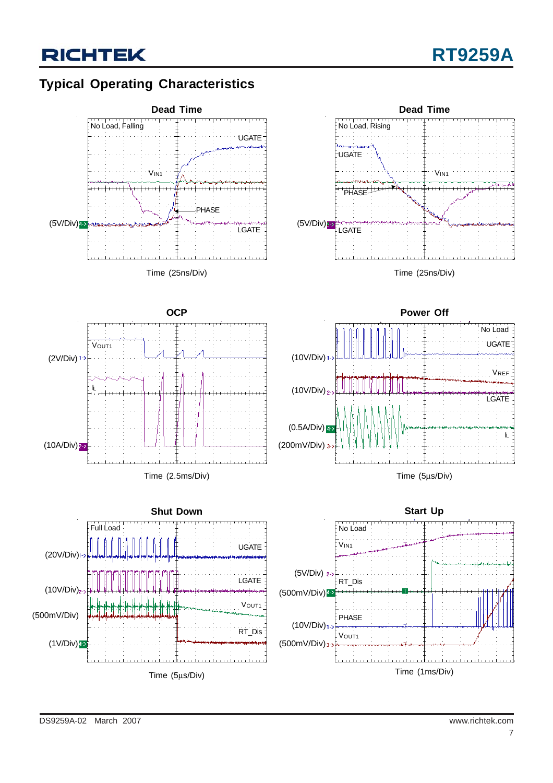## **Typical Operating Characteristics**

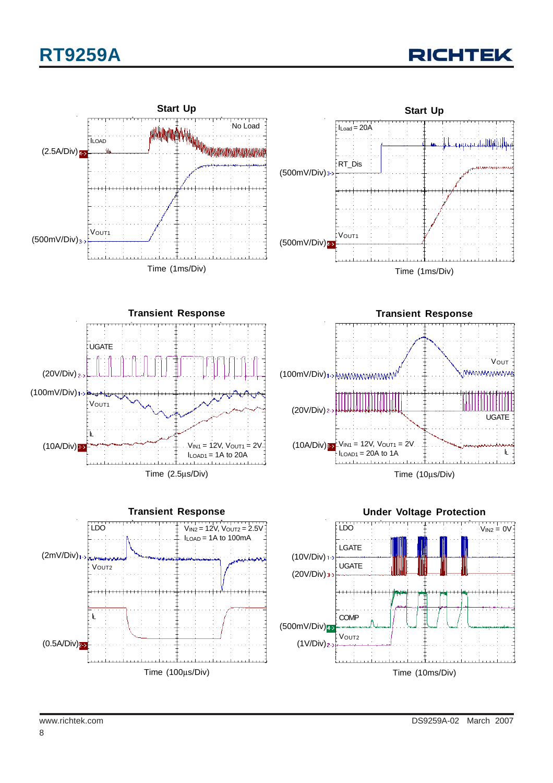# **RT9259A**



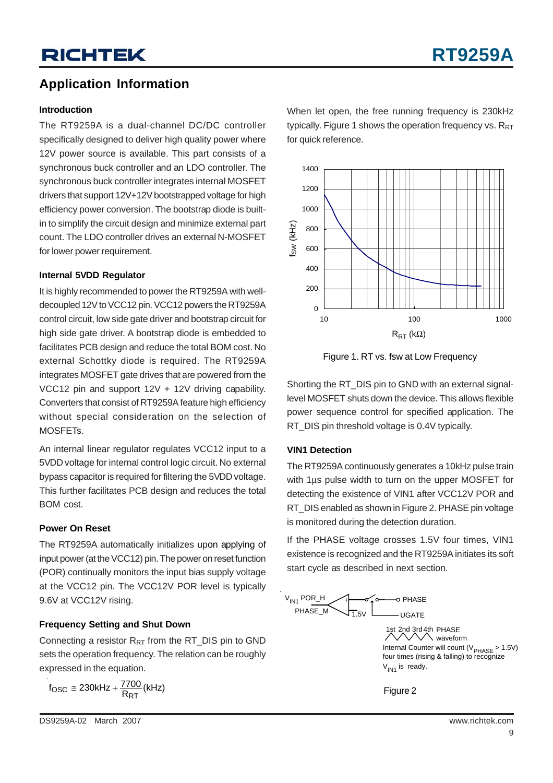## **Application Information**

#### **Introduction**

The RT9259A is a dual-channel DC/DC controller specifically designed to deliver high quality power where 12V power source is available. This part consists of a synchronous buck controller and an LDO controller. The synchronous buck controller integrates internal MOSFET drivers that support 12V+12V bootstrapped voltage for high efficiency power conversion. The bootstrap diode is builtin to simplify the circuit design and minimize external part count. The LDO controller drives an external N-MOSFET for lower power requirement.

#### **Internal 5VDD Regulator**

It is highly recommended to power the RT9259A with welldecoupled 12V to VCC12 pin. VCC12 powers the RT9259A control circuit, low side gate driver and bootstrap circuit for high side gate driver. A bootstrap diode is embedded to facilitates PCB design and reduce the total BOM cost. No external Schottky diode is required. The RT9259A integrates MOSFET gate drives that are powered from the VCC12 pin and support 12V + 12V driving capability. Converters that consist of RT9259A feature high efficiency without special consideration on the selection of MOSFETs.

An internal linear regulator regulates VCC12 input to a 5VDD voltage for internal control logic circuit. No external bypass capacitor is required for filtering the 5VDD voltage. This further facilitates PCB design and reduces the total BOM cost.

### **Power On Reset**

The RT9259A automatically initializes upon applying of input power (at the VCC12) pin. The power on reset function (POR) continually monitors the input bias supply voltage at the VCC12 pin. The VCC12V POR level is typically 9.6V at VCC12V rising.

### **Frequency Setting and Shut Down**

Connecting a resistor  $R_{RT}$  from the RT\_DIS pin to GND sets the operation frequency. The relation can be roughly expressed in the equation.

 $f_{\text{OSC}} \cong 230$ kHz +  $\frac{7700}{R_{\text{RT}}}$ (kHz)

When let open, the free running frequency is 230kHz typically. Figure 1 shows the operation frequency vs.  $R_{RT}$ for quick reference.



Figure 1. RT vs. fsw at Low Frequency

Shorting the RT\_DIS pin to GND with an external signallevel MOSFET shuts down the device. This allows flexible power sequence control for specified application. The RT\_DIS pin threshold voltage is 0.4V typically.

### **VIN1 Detection**

The RT9259A continuously generates a 10kHz pulse train with 1 us pulse width to turn on the upper MOSFET for detecting the existence of VIN1 after VCC12V POR and RT DIS enabled as shown in Figure 2. PHASE pin voltage is monitored during the detection duration.

If the PHASE voltage crosses 1.5V four times, VIN1 existence is recognized and the RT9259A initiates its soft start cycle as described in next section.



Internal Counter will count  $(V_{PHASE} > 1.5V)$ four times (rising & falling) to recognize  $V_{IN1}$  is ready. 1st 2nd 3rd4th PHASE  $\sqrt{\ }$  waveform

Figure 2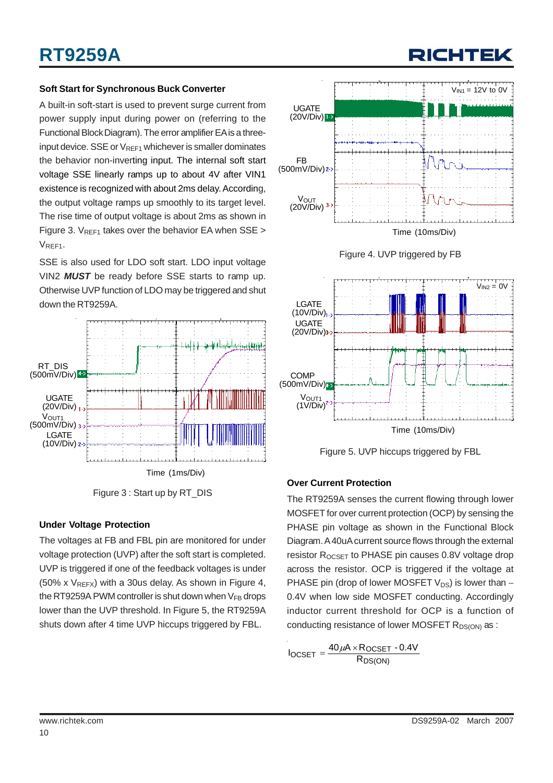### **Soft Start for Synchronous Buck Converter**

A built-in soft-start is used to prevent surge current from power supply input during power on (referring to the Functional Block Diagram). The error amplifier EA is a threeinput device. SSE or  $V_{REF1}$  whichever is smaller dominates the behavior non-inverting input. The internal soft start voltage SSE linearly ramps up to about 4V after VIN1 existence is recognized with about 2ms delay. According, the output voltage ramps up smoothly to its target level. The rise time of output voltage is about 2ms as shown in Figure 3.  $V_{REF1}$  takes over the behavior EA when SSE > V<sub>REF1</sub>.

SSE is also used for LDO soft start. LDO input voltage VIN2 *MUST* be ready before SSE starts to ramp up. Otherwise UVP function of LDO may be triggered and shut down the RT9259A.





### **Under Voltage Protection**

The voltages at FB and FBL pin are monitored for under voltage protection (UVP) after the soft start is completed. UVP is triggered if one of the feedback voltages is under (50% x  $V_{REFX}$ ) with a 30us delay. As shown in Figure 4, the RT9259A PWM controller is shut down when  $V_{FB}$  drops lower than the UVP threshold. In Figure 5, the RT9259A shuts down after 4 time UVP hiccups triggered by FBL.







Figure 5. UVP hiccups triggered by FBL

### **Over Current Protection**

The RT9259A senses the current flowing through lower MOSFET for over current protection (OCP) by sensing the PHASE pin voltage as shown in the Functional Block Diagram. A 40uA current source flows through the external resistor  $R_{OCSFT}$  to PHASE pin causes 0.8V voltage drop across the resistor. OCP is triggered if the voltage at PHASE pin (drop of lower MOSFET  $V_{DS}$ ) is lower than – 0.4V when low side MOSFET conducting. Accordingly inductor current threshold for OCP is a function of conducting resistance of lower MOSFET  $R_{DS(ON)}$  as :

$$
I_{OCSET} = \frac{40\,\mu A \times R_{OCSET} - 0.4V}{R_{DS(ON)}}
$$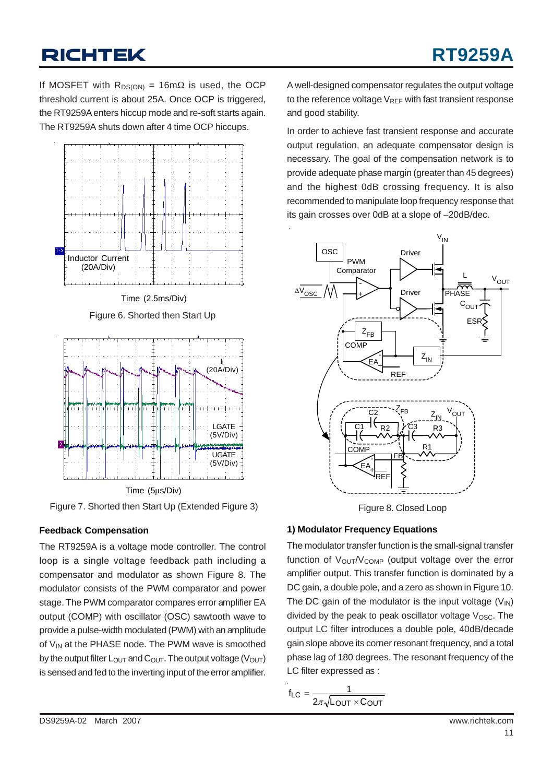If MOSFET with  $R_{DS(ON)} = 16 \text{m}\Omega$  is used, the OCP threshold current is about 25A. Once OCP is triggered, the RT9259A enters hiccup mode and re-soft starts again. The RT9259A shuts down after 4 time OCP hiccups.



Figure 7. Shorted then Start Up (Extended Figure 3)

### **Feedback Compensation**

The RT9259A is a voltage mode controller. The control loop is a single voltage feedback path including a compensator and modulator as shown Figure 8. The modulator consists of the PWM comparator and power stage. The PWM comparator compares error amplifier EA output (COMP) with oscillator (OSC) sawtooth wave to provide a pulse-width modulated (PWM) with an amplitude of  $V_{IN}$  at the PHASE node. The PWM wave is smoothed by the output filter  $L_{\text{OUT}}$  and  $C_{\text{OUT}}$ . The output voltage ( $V_{\text{OUT}}$ ) is sensed and fed to the inverting input of the error amplifier.

A well-designed compensator regulates the output voltage to the reference voltage  $V_{REF}$  with fast transient response and good stability.

In order to achieve fast transient response and accurate output regulation, an adequate compensator design is necessary. The goal of the compensation network is to provide adequate phase margin (greater than 45 degrees) and the highest 0dB crossing frequency. It is also recommended to manipulate loop frequency response that its gain crosses over 0dB at a slope of −20dB/dec.



Figure 8. Closed Loop

### **1) Modulator Frequency Equations**

The modulator transfer function is the small-signal transfer function of  $V_{\text{OUT}}/V_{\text{COMP}}$  (output voltage over the error amplifier output. This transfer function is dominated by a DC gain, a double pole, and a zero as shown in Figure 10. The DC gain of the modulator is the input voltage  $(V_{\text{IN}})$ divided by the peak to peak oscillator voltage  $V_{\text{OSC}}$ . The output LC filter introduces a double pole, 40dB/decade gain slope above its corner resonant frequency, and a total phase lag of 180 degrees. The resonant frequency of the LC filter expressed as :

$$
f_{LC} = \frac{1}{2\pi\sqrt{L_{OUT} \times C_{OUT}}}
$$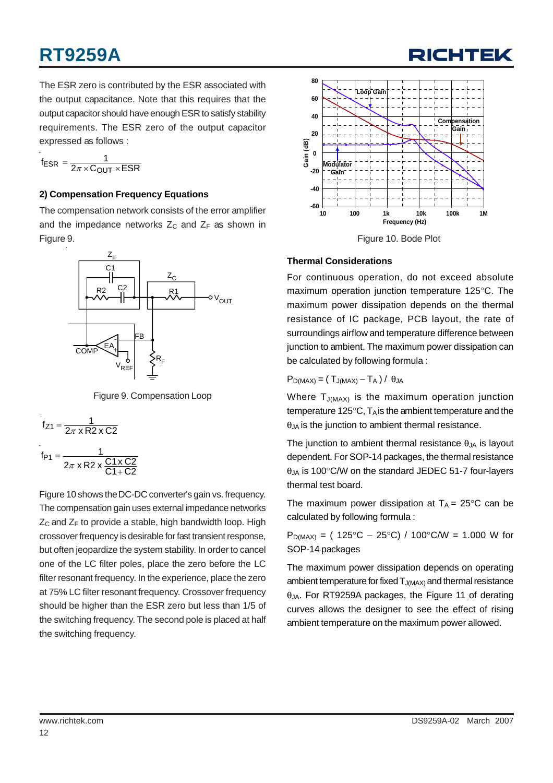# **RT9259A**

The ESR zero is contributed by the ESR associated with the output capacitance. Note that this requires that the output capacitor should have enough ESR to satisfy stability requirements. The ESR zero of the output capacitor expressed as follows :

$$
f_{ESR} = \frac{1}{2\pi \times C_{OUT} \times ESR}
$$

### **2) Compensation Frequency Equations**

The compensation network consists of the error amplifier and the impedance networks  $Z_C$  and  $Z_F$  as shown in Figure 9.



Figure 9. Compensation Loop

$$
f_{Z1} = \frac{1}{2\pi \times R2 \times C2}
$$

$$
f_{P1} = \frac{1}{2\pi \times R2 \times \frac{C1 \times C2}{C1 + C2}}
$$

Figure 10 shows the DC-DC converter's gain vs. frequency. The compensation gain uses external impedance networks  $Z_C$  and  $Z_F$  to provide a stable, high bandwidth loop. High crossover frequency is desirable for fast transient response, but often jeopardize the system stability. In order to cancel one of the LC filter poles, place the zero before the LC filter resonant frequency. In the experience, place the zero at 75% LC filter resonant frequency. Crossover frequency should be higher than the ESR zero but less than 1/5 of the switching frequency. The second pole is placed at half the switching frequency.



RICHTE

### **Thermal Considerations**

For continuous operation, do not exceed absolute maximum operation junction temperature 125°C. The maximum power dissipation depends on the thermal resistance of IC package, PCB layout, the rate of surroundings airflow and temperature difference between junction to ambient. The maximum power dissipation can be calculated by following formula :

### $P_{D(MAX)} = (T_{J(MAX)} - T_A) / \theta_{JA}$

Where  $T_{J(MAX)}$  is the maximum operation junction temperature 125 $\mathrm{^{\circ}C}$ , T<sub>A</sub> is the ambient temperature and the  $\theta_{JA}$  is the junction to ambient thermal resistance.

The junction to ambient thermal resistance  $\theta_{JA}$  is layout dependent. For SOP-14 packages, the thermal resistance  $\theta_{JA}$  is 100°C/W on the standard JEDEC 51-7 four-layers thermal test board.

The maximum power dissipation at  $T_A = 25^{\circ}C$  can be calculated by following formula :

 $P_{D(MAX)}$  = ( 125°C − 25°C) / 100°C/W = 1.000 W for SOP-14 packages

The maximum power dissipation depends on operating ambient temperature for fixed  $T_{J(MAX)}$  and thermal resistance θJA. For RT9259A packages, the Figure 11 of derating curves allows the designer to see the effect of rising ambient temperature on the maximum power allowed.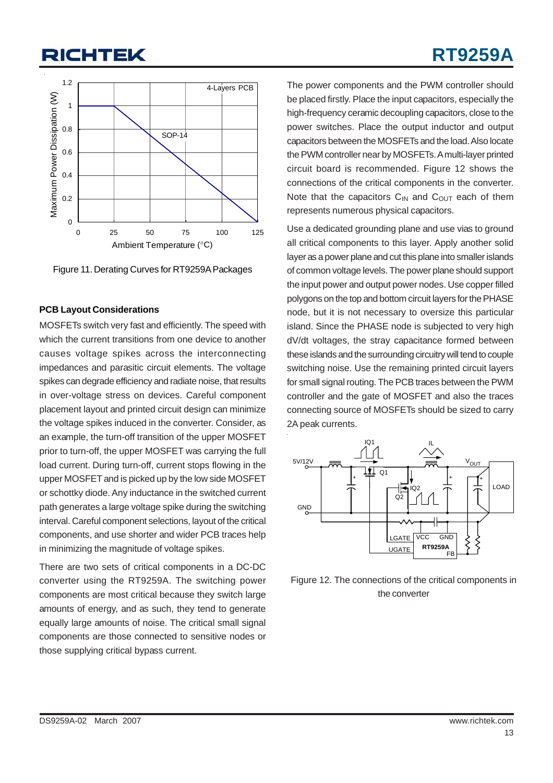# **RT9259A**



Figure 11. Derating Curves for RT9259A Packages

#### **PCB Layout Considerations**

MOSFETs switch very fast and efficiently. The speed with which the current transitions from one device to another causes voltage spikes across the interconnecting impedances and parasitic circuit elements. The voltage spikes can degrade efficiency and radiate noise, that results in over-voltage stress on devices. Careful component placement layout and printed circuit design can minimize the voltage spikes induced in the converter. Consider, as an example, the turn-off transition of the upper MOSFET prior to turn-off, the upper MOSFET was carrying the full load current. During turn-off, current stops flowing in the upper MOSFET and is picked up by the low side MOSFET or schottky diode. Any inductance in the switched current path generates a large voltage spike during the switching interval. Careful component selections, layout of the critical components, and use shorter and wider PCB traces help in minimizing the magnitude of voltage spikes.

There are two sets of critical components in a DC-DC converter using the RT9259A. The switching power components are most critical because they switch large amounts of energy, and as such, they tend to generate equally large amounts of noise. The critical small signal components are those connected to sensitive nodes or those supplying critical bypass current.

The power components and the PWM controller should be placed firstly. Place the input capacitors, especially the high-frequency ceramic decoupling capacitors, close to the power switches. Place the output inductor and output capacitors between the MOSFETs and the load. Also locate the PWM controller near by MOSFETs. A multi-layer printed circuit board is recommended. Figure 12 shows the connections of the critical components in the converter. Note that the capacitors  $C_{IN}$  and  $C_{OUT}$  each of them represents numerous physical capacitors.

Use a dedicated grounding plane and use vias to ground all critical components to this layer. Apply another solid layer as a power plane and cut this plane into smaller islands of common voltage levels. The power plane should support the input power and output power nodes. Use copper filled polygons on the top and bottom circuit layers for the PHASE node, but it is not necessary to oversize this particular island. Since the PHASE node is subjected to very high dV/dt voltages, the stray capacitance formed between these islands and the surrounding circuitry will tend to couple switching noise. Use the remaining printed circuit layers for small signal routing. The PCB traces between the PWM controller and the gate of MOSFET and also the traces connecting source of MOSFETs should be sized to carry 2A peak currents.



Figure 12. The connections of the critical components in the converter